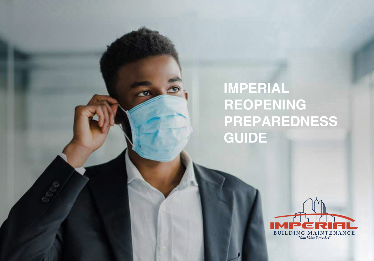**IMPERIAL REOPENING PREPAREDNESS GUIDE**

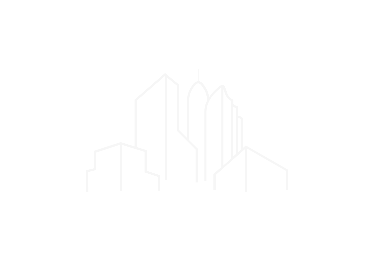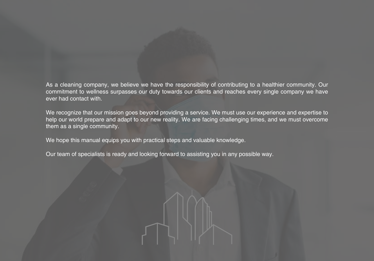

As a cleaning company, we believe we have the responsibility of contributing to a healthier community. Our commitment to wellness surpasses our duty towards our clients and reaches every single company we have ever had contact with.

We recognize that our mission goes beyond providing a service. We must use our experience and expertise to help our world prepare and adapt to our new reality. We are facing challenging times, and we must overcome them as a single community.

We hope this manual equips you with practical steps and valuable knowledge.

Our team of specialists is ready and looking forward to assisting you in any possible way.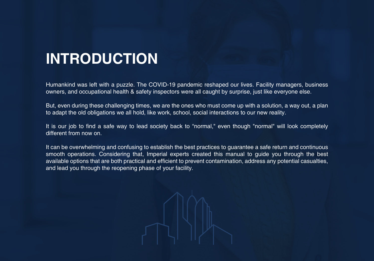# **INTRODUCTION**

Humankind was left with a puzzle. The COVID-19 pandemic reshaped our lives. Facility managers, business owners, and occupational health & safety inspectors were all caught by surprise, just like everyone else.

But, even during these challenging times, we are the ones who must come up with a solution, a way out, a plan to adapt the old obligations we all hold, like work, school, social interactions to our new reality.

It is our job to find a safe way to lead society back to "normal," even though "normal" will look completely different from now on.

It can be overwhelming and confusing to establish the best practices to guarantee a safe return and continuous smooth operations. Considering that, Imperial experts created this manual to guide you through the best available options that are both practical and efficient to prevent contamination, address any potential casualties, and lead you through the reopening phase of your facility.

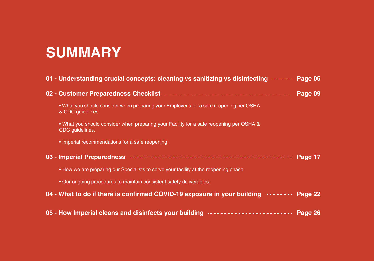# **SUMMARY**

| 01 - Understanding crucial concepts: cleaning vs sanitizing vs disinfecting  Page 05                        |         |
|-------------------------------------------------------------------------------------------------------------|---------|
|                                                                                                             | Page 09 |
| • What you should consider when preparing your Employees for a safe reopening per OSHA<br>& CDC quidelines. |         |
| • What you should consider when preparing your Facility for a safe reopening per OSHA &<br>CDC guidelines.  |         |
| • Imperial recommendations for a safe reopening.                                                            |         |
|                                                                                                             | Page 17 |
| • How we are preparing our Specialists to serve your facility at the reopening phase.                       |         |
| • Our ongoing procedures to maintain consistent safety deliverables.                                        |         |
| 04 - What to do if there is confirmed COVID-19 exposure in your building servers-                           | Page 22 |
|                                                                                                             | Page 26 |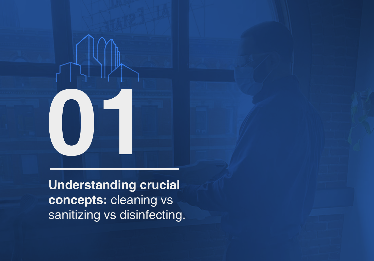**Understanding crucial concepts:** cleaning vs sanitizing vs disinfecting.

**01**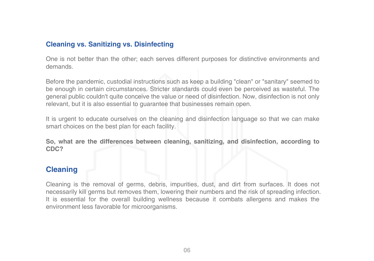## **Cleaning vs. Sanitizing vs. Disinfecting**

One is not better than the other; each serves different purposes for distinctive environments and demands.

Before the pandemic, custodial instructions such as keep a building "clean" or "sanitary" seemed to be enough in certain circumstances. Stricter standards could even be perceived as wasteful. The general public couldn't quite conceive the value or need of disinfection. Now, disinfection is not only relevant, but it is also essential to guarantee that businesses remain open.

It is urgent to educate ourselves on the cleaning and disinfection language so that we can make smart choices on the best plan for each facility.

**So, what are the differences between cleaning, sanitizing, and disinfection, according to CDC?**

## **Cleaning**

Cleaning is the removal of germs, debris, impurities, dust, and dirt from surfaces. It does not necessarily kill germs but removes them, lowering their numbers and the risk of spreading infection. It is essential for the overall building wellness because it combats allergens and makes the environment less favorable for microorganisms.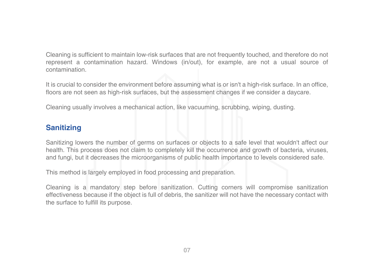Cleaning is sufficient to maintain low-risk surfaces that are not frequently touched, and therefore do not represent a contamination hazard. Windows (in/out), for example, are not a usual source of contamination.

It is crucial to consider the environment before assuming what is or isn't a high-risk surface. In an office, floors are not seen as high-risk surfaces, but the assessment changes if we consider a daycare.

Cleaning usually involves a mechanical action, like vacuuming, scrubbing, wiping, dusting.

## **Sanitizing**

Sanitizing lowers the number of germs on surfaces or objects to a safe level that wouldn't affect our health. This process does not claim to completely kill the occurrence and growth of bacteria, viruses, and fungi, but it decreases the microorganisms of public health importance to levels considered safe.

This method is largely employed in food processing and preparation.

Cleaning is a mandatory step before sanitization. Cutting corners will compromise sanitization effectiveness because if the object is full of debris, the sanitizer will not have the necessary contact with the surface to fulfill its purpose.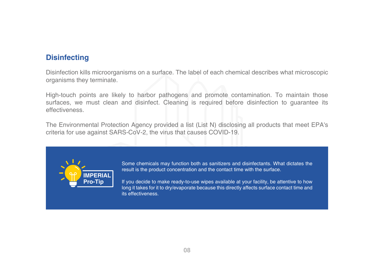## **Disinfecting**

Disinfection kills microorganisms on a surface. The label of each chemical describes what microscopic organisms they terminate.

High-touch points are likely to harbor pathogens and promote contamination. To maintain those surfaces, we must clean and disinfect. Cleaning is required before disinfection to guarantee its effectiveness.

The Environmental Protection Agency provided a list (List N) disclosing all products that meet EPA's criteria for use against SARS-CoV-2, the virus that causes COVID-19.



Some chemicals may function both as sanitizers and disinfectants. What dictates the result is the product concentration and the contact time with the surface.

If you decide to make ready-to-use wipes available at your facility, be attentive to how long it takes for it to dry/evaporate because this directly affects surface contact time and its effectiveness.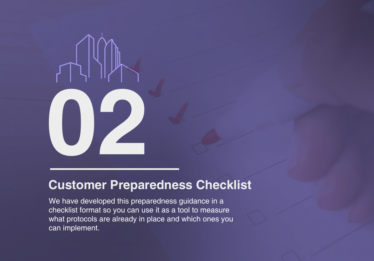

## **Customer Preparedness Checklist**

We have developed this preparedness guidance in a checklist format so you can use it as a tool to measure what protocols are already in place and which ones you can implement.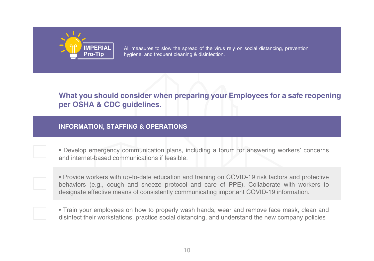

All measures to slow the spread of the virus rely on social distancing, prevention hygiene, and frequent cleaning & disinfection.

## **What you should consider when preparing your Employees for a safe reopening per OSHA & CDC guidelines.**

## **INFORMATION, STAFFING & OPERATIONS**

| • Develop emergency communication plans, including a forum for answering workers' concerns |  |  |  |
|--------------------------------------------------------------------------------------------|--|--|--|
| and internet-based communications if feasible.                                             |  |  |  |

• Provide workers with up-to-date education and training on COVID-19 risk factors and protective behaviors (e.g., cough and sneeze protocol and care of PPE). Collaborate with workers to designate effective means of consistently communicating important COVID-19 information.

• Train your employees on how to properly wash hands, wear and remove face mask, clean and disinfect their workstations, practice social distancing, and understand the new company policies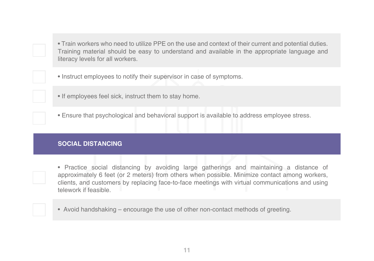• Train workers who need to utilize PPE on the use and context of their current and potential duties. Training material should be easy to understand and available in the appropriate language and literacy levels for all workers.

- Instruct employees to notify their supervisor in case of symptoms.
- If employees feel sick, instruct them to stay home.
- Ensure that psychological and behavioral support is available to address employee stress.

## **SOCIAL DISTANCING**

• Practice social distancing by avoiding large gatherings and maintaining a distance of approximately 6 feet (or 2 meters) from others when possible. Minimize contact among workers, clients, and customers by replacing face-to-face meetings with virtual communications and using telework if feasible.



• Avoid handshaking – encourage the use of other non-contact methods of greeting.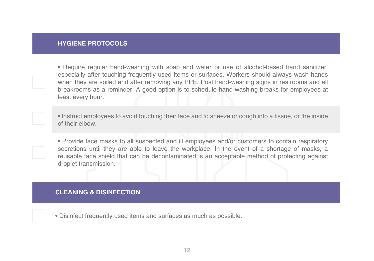### **HYGIENE PROTOCOLS**



• Require regular hand-washing with soap and water or use of alcohol-based hand sanitizer, especially after touching frequently used items or surfaces. Workers should always wash hands when they are soiled and after removing any PPE. Post hand-washing signs in restrooms and all breakrooms as a reminder. A good option is to schedule hand-washing breaks for employees at least every hour.

hygiene, and frequent cleaning & disinfection. **Pro-Tip** 

• Instruct employees to avoid touching their face and to sneeze or cough into a tissue, or the inside of their elbow.

• Provide face masks to all suspected and ill employees and/or customers to contain respiratory secretions until they are able to leave the workplace. In the event of a shortage of masks, a reusable face shield that can be decontaminated is an acceptable method of protecting against droplet transmission.

### **CLEANING & DISINFECTION**

• Disinfect frequently used items and surfaces as much as possible.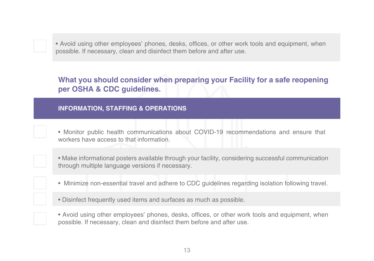• Avoid using other employees' phones, desks, offices, or other work tools and equipment, when possible. If necessary, clean and disinfect them before and after use.

**What you should consider when preparing your Facility for a safe reopening per OSHA & CDC guidelines.**

## **INFORMATION, STAFFING & OPERATIONS**

• Monitor public health communications about COVID-19 recommendations and ensure that workers have access to that information.

• Make informational posters available through your facility, considering successful communication through multiple language versions if necessary.

- Minimize non-essential travel and adhere to CDC guidelines regarding isolation following travel.
- Disinfect frequently used items and surfaces as much as possible.



• Avoid using other employees' phones, desks, offices, or other work tools and equipment, when possible. If necessary, clean and disinfect them before and after use.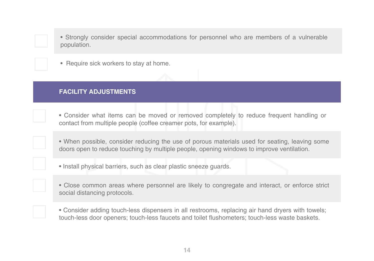**•** Strongly consider special accommodations for personnel who are members of a vulnerable population.

• Require sick workers to stay at home.

## **FACILITY ADJUSTMENTS**

- Consider what items can be moved or removed completely to reduce frequent handling or contact from multiple people (coffee creamer pots, for example).
- When possible, consider reducing the use of porous materials used for seating, leaving some doors open to reduce touching by multiple people, opening windows to improve ventilation.
- Install physical barriers, such as clear plastic sneeze guards.



- Close common areas where personnel are likely to congregate and interact, or enforce strict social distancing protocols.
- Consider adding touch-less dispensers in all restrooms, replacing air hand dryers with towels; touch-less door openers; touch-less faucets and toilet flushometers; touch-less waste baskets.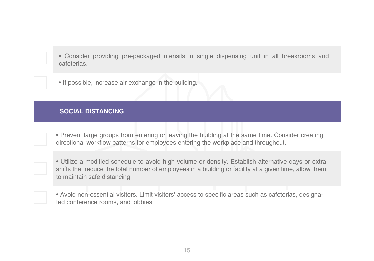• Consider providing pre-packaged utensils in single dispensing unit in all breakrooms and cafeterias.

• If possible, increase air exchange in the building.

## **SOCIAL DISTANCING**

• Prevent large groups from entering or leaving the building at the same time. Consider creating directional workflow patterns for employees entering the workplace and throughout.

• Utilize a modified schedule to avoid high volume or density. Establish alternative days or extra shifts that reduce the total number of employees in a building or facility at a given time, allow them to maintain safe distancing.

• Avoid non-essential visitors. Limit visitors' access to specific areas such as cafeterias, designated conference rooms, and lobbies.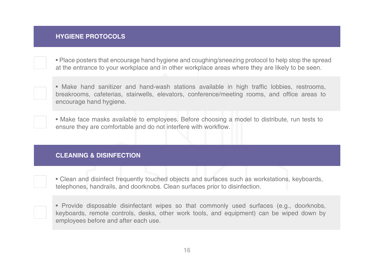### **HYGIENE PROTOCOLS**

• Place posters that encourage hand hygiene and coughing/sneezing protocol to help stop the spread at the entrance to your workplace and in other workplace areas where they are likely to be seen.

• Make hand sanitizer and hand-wash stations available in high traffic lobbies, restrooms, breakrooms, cafeterias, stairwells, elevators, conference/meeting rooms, and office areas to encourage hand hygiene.

• Make face masks available to employees. Before choosing a model to distribute, run tests to ensure they are comfortable and do not interfere with workflow.

### **CLEANING & DISINFECTION**

• Clean and disinfect frequently touched objects and surfaces such as workstations, keyboards, telephones, handrails, and doorknobs. Clean surfaces prior to disinfection.

• Provide disposable disinfectant wipes so that commonly used surfaces (e.g., doorknobs, keyboards, remote controls, desks, other work tools, and equipment) can be wiped down by employees before and after each use.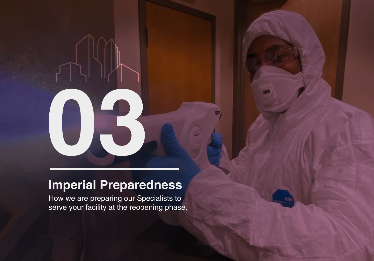## **Imperial Preparedness**

**03**

How we are preparing our Specialists to serve your facility at the reopening phase.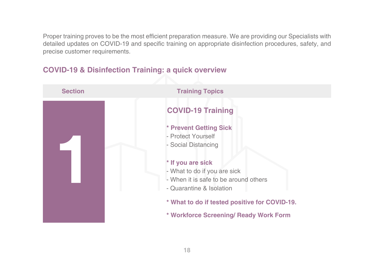Proper training proves to be the most efficient preparation measure. We are providing our Specialists with detailed updates on COVID-19 and specific training on appropriate disinfection procedures, safety, and precise customer requirements.

## **COVID-19 & Disinfection Training: a quick overview**

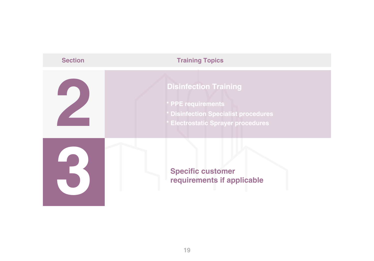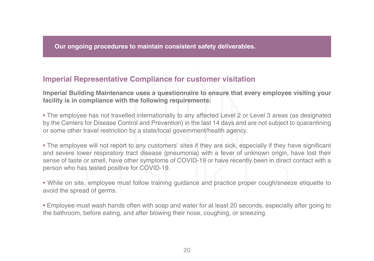## **Imperial Representative Compliance for customer visitation**

**Imperial Building Maintenance uses a questionnaire to ensure that every employee visiting your facility is in compliance with the following requirements:**

• The employee has not travelled internationally to any affected Level 2 or Level 3 areas (as designated by the Centers for Disease Control and Prevention) in the last 14 days and are not subject to quarantining or some other travel restriction by a state/local government/health agency.

• The employee will not report to any customers' sites if they are sick, especially if they have significant and severe lower respiratory tract disease (pneumonia) with a fever of unknown origin, have lost their sense of taste or smell, have other symptoms of COVID-19 or have recently been in direct contact with a person who has tested positive for COVID-19.

• While on site, employee must follow training guidance and practice proper cough/sneeze etiquette to avoid the spread of germs.

• Employee must wash hands often with soap and water for at least 20 seconds, especially after going to the bathroom, before eating, and after blowing their nose, coughing, or sneezing.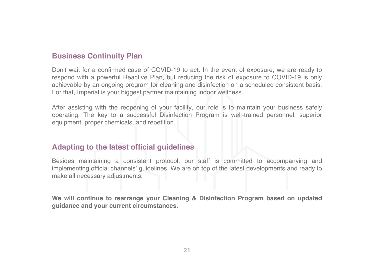## **Business Continuity Plan**

Don't wait for a confirmed case of COVID-19 to act. In the event of exposure, we are ready to respond with a powerful Reactive Plan, but reducing the risk of exposure to COVID-19 is only achievable by an ongoing program for cleaning and disinfection on a scheduled consistent basis. For that, Imperial is your biggest partner maintaining indoor wellness.

After assisting with the reopening of your facility, our role is to maintain your business safely operating. The key to a successful Disinfection Program is well-trained personnel, superior equipment, proper chemicals, and repetition.

## **Adapting to the latest official guidelines**

Besides maintaining a consistent protocol, our staff is committed to accompanying and implementing official channels' guidelines. We are on top of the latest developments and ready to make all necessary adjustments.

**We will continue to rearrange your Cleaning & Disinfection Program based on updated guidance and your current circumstances.**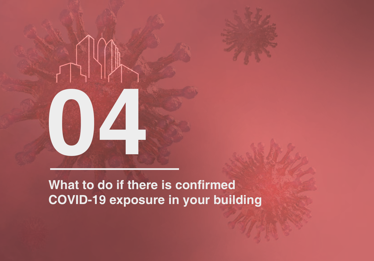

## **What to do if there is confirmed COVID-19 exposure in your building**

**04**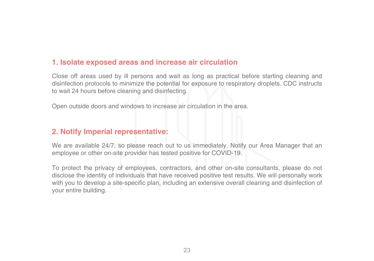## **1. Isolate exposed areas and increase air circulation**

Close off areas used by ill persons and wait as long as practical before starting cleaning and disinfection protocols to minimize the potential for exposure to respiratory droplets. CDC instructs to wait 24 hours before cleaning and disinfecting.

Open outside doors and windows to increase air circulation in the area.

## **2. Notify Imperial representative:**

We are available 24/7, so please reach out to us immediately. Notify our Area Manager that an employee or other on-site provider has tested positive for COVID-19.

To protect the privacy of employees, contractors, and other on-site consultants, please do not disclose the identity of individuals that have received positive test results. We will personally work with you to develop a site-specific plan, including an extensive overall cleaning and disinfection of your entire building.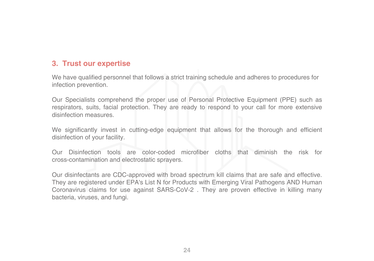## **3. Trust our expertise**

We have qualified personnel that follows a strict training schedule and adheres to procedures for infection prevention.

Our Specialists comprehend the proper use of Personal Protective Equipment (PPE) such as respirators, suits, facial protection. They are ready to respond to your call for more extensive disinfection measures.

We significantly invest in cutting-edge equipment that allows for the thorough and efficient disinfection of your facility.

Our Disinfection tools are color-coded microfiber cloths that diminish the risk for cross-contamination and electrostatic sprayers.

Our disinfectants are CDC-approved with broad spectrum kill claims that are safe and effective. They are registered under EPA's List N for Products with Emerging Viral Pathogens AND Human Coronavirus claims for use against SARS-CoV-2 . They are proven effective in killing many bacteria, viruses, and fungi.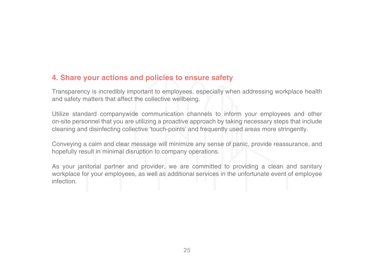## **4. Share your actions and policies to ensure safety**

Transparency is incredibly important to employees, especially when addressing workplace health and safety matters that affect the collective wellbeing.

Utilize standard companywide communication channels to inform your employees and other on-site personnel that you are utilizing a proactive approach by taking necessary steps that include cleaning and disinfecting collective 'touch-points' and frequently used areas more stringently.

Conveying a calm and clear message will minimize any sense of panic, provide reassurance, and hopefully result in minimal disruption to company operations.

As your janitorial partner and provider, we are committed to providing a clean and sanitary workplace for your employees, as well as additional services in the unfortunate event of employee infection.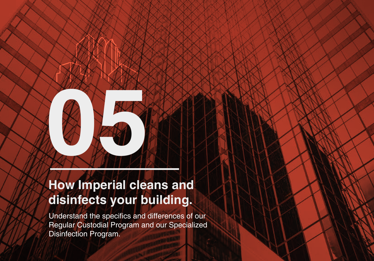

# **How Imperial cleans and disinfects your building.**

Understand the specifics and differences of our Regular Custodial Program and our Specialized Disinfection Program.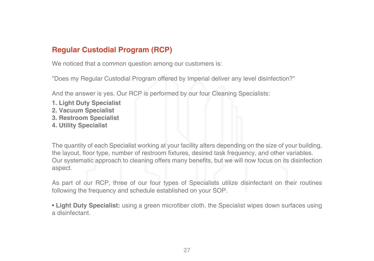## **Regular Custodial Program (RCP)**

We noticed that a common question among our customers is:

"Does my Regular Custodial Program offered by Imperial deliver any level disinfection?"

And the answer is yes. Our RCP is performed by our four Cleaning Specialists:

- **1. Light Duty Specialist**
- **2. Vacuum Specialist**
- **3. Restroom Specialist**
- **4. Utility Specialist**

The quantity of each Specialist working at your facility alters depending on the size of your building, the layout, floor type, number of restroom fixtures, desired task frequency, and other variables. Our systematic approach to cleaning offers many benefits, but we will now focus on its disinfection aspect.

As part of our RCP, three of our four types of Specialists utilize disinfectant on their routines following the frequency and schedule established on your SOP.

**• Light Duty Specialist:** using a green microfiber cloth, the Specialist wipes down surfaces using a disinfectant.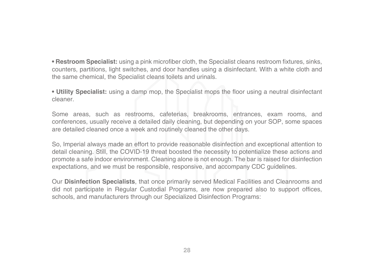**• Restroom Specialist:** using a pink microfiber cloth, the Specialist cleans restroom fixtures, sinks, counters, partitions, light switches, and door handles using a disinfectant. With a white cloth and the same chemical, the Specialist cleans toilets and urinals.

**• Utility Specialist:** using a damp mop, the Specialist mops the floor using a neutral disinfectant cleaner.

Some areas, such as restrooms, cafeterias, breakrooms, entrances, exam rooms, and conferences, usually receive a detailed daily cleaning, but depending on your SOP, some spaces are detailed cleaned once a week and routinely cleaned the other days.

So, Imperial always made an effort to provide reasonable disinfection and exceptional attention to detail cleaning. Still, the COVID-19 threat boosted the necessity to potentialize these actions and promote a safe indoor environment. Cleaning alone is not enough. The bar is raised for disinfection expectations, and we must be responsible, responsive, and accompany CDC guidelines.

Our **Disinfection Specialists**, that once primarily served Medical Facilities and Cleanrooms and did not participate in Regular Custodial Programs, are now prepared also to support offices, schools, and manufacturers through our Specialized Disinfection Programs: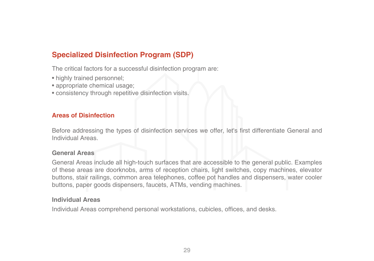## **Specialized Disinfection Program (SDP)**

The critical factors for a successful disinfection program are:

- highly trained personnel;
- appropriate chemical usage;
- consistency through repetitive disinfection visits.

### **Areas of Disinfection**

Before addressing the types of disinfection services we offer, let's first differentiate General and Individual Areas.

### **General Areas**

General Areas include all high-touch surfaces that are accessible to the general public. Examples of these areas are doorknobs, arms of reception chairs, light switches, copy machines, elevator buttons, stair railings, common area telephones, coffee pot handles and dispensers, water cooler buttons, paper goods dispensers, faucets, ATMs, vending machines.

### **Individual Areas**

Individual Areas comprehend personal workstations, cubicles, offices, and desks.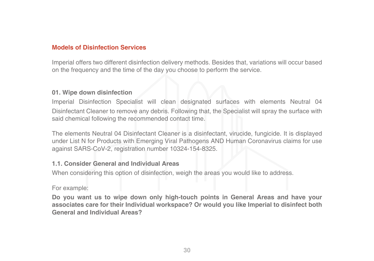### **Models of Disinfection Services**

Imperial offers two different disinfection delivery methods. Besides that, variations will occur based on the frequency and the time of the day you choose to perform the service.

#### **01. Wipe down disinfection**

Imperial Disinfection Specialist will clean designated surfaces with elements Neutral 04 Disinfectant Cleaner to remove any debris. Following that, the Specialist will spray the surface with said chemical following the recommended contact time.

The elements Neutral 04 Disinfectant Cleaner is a disinfectant, virucide, fungicide. It is displayed under List N for Products with Emerging Viral Pathogens AND Human Coronavirus claims for use against SARS-CoV-2, registration number 10324-154-8325.

### **1.1. Consider General and Individual Areas**

When considering this option of disinfection, weigh the areas you would like to address.

#### For example:

**Do you want us to wipe down only high-touch points in General Areas and have your associates care for their Individual workspace? Or would you like Imperial to disinfect both General and Individual Areas?**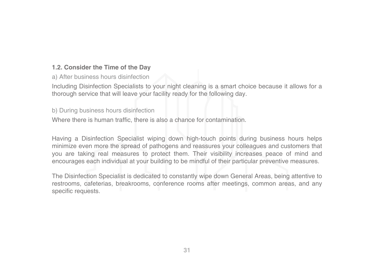### **1.2. Consider the Time of the Day**

### a) After business hours disinfection

Including Disinfection Specialists to your night cleaning is a smart choice because it allows for a thorough service that will leave your facility ready for the following day.

### b) During business hours disinfection

Where there is human traffic, there is also a chance for contamination.

Having a Disinfection Specialist wiping down high-touch points during business hours helps minimize even more the spread of pathogens and reassures your colleagues and customers that you are taking real measures to protect them. Their visibility increases peace of mind and encourages each individual at your building to be mindful of their particular preventive measures.

The Disinfection Specialist is dedicated to constantly wipe down General Areas, being attentive to restrooms, cafeterias, breakrooms, conference rooms after meetings, common areas, and any specific requests.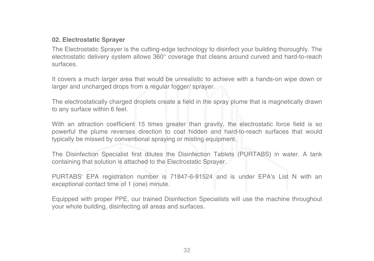### **02. Electrostatic Sprayer**

The Electrostatic Sprayer is the cutting-edge technology to disinfect your building thoroughly. The electrostatic delivery system allows 360° coverage that cleans around curved and hard-to-reach surfaces.

It covers a much larger area that would be unrealistic to achieve with a hands-on wipe down or larger and uncharged drops from a regular fogger/ sprayer.

The electrostatically charged droplets create a field in the spray plume that is magnetically drawn to any surface within 6 feet.

With an attraction coefficient 15 times greater than gravity, the electrostatic force field is so powerful the plume reverses direction to coat hidden and hard-to-reach surfaces that would typically be missed by conventional spraying or misting equipment.

The Disinfection Specialist first dilutes the Disinfection Tablets (PURTABS) in water. A tank containing that solution is attached to the Electrostatic Sprayer.

PURTABS' EPA registration number is 71847-6-91524 and is under EPA's List N with an exceptional contact time of 1 (one) minute.

Equipped with proper PPE, our trained Disinfection Specialists will use the machine throughout your whole building, disinfecting all areas and surfaces.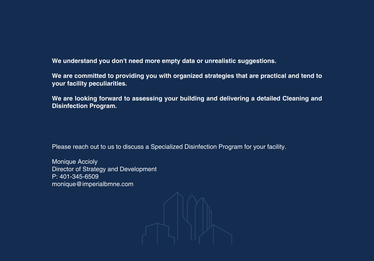**We understand you don't need more empty data or unrealistic suggestions.**

**We are committed to providing you with organized strategies that are practical and tend to your facility peculiarities.** 

**We are looking forward to assessing your building and delivering a detailed Cleaning and Disinfection Program.**

Please reach out to us to discuss a Specialized Disinfection Program for your facility.

Monique Accioly Director of Strategy and Development P: 401-345-6509 monique@imperialbmne.com